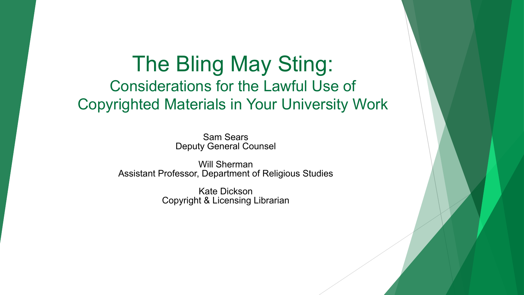#### The Bling May Sting: Considerations for the Lawful Use of Copyrighted Materials in Your University Work

Sam Sears Deputy General Counsel

Will Sherman Assistant Professor, Department of Religious Studies

> Kate Dickson Copyright & Licensing Librarian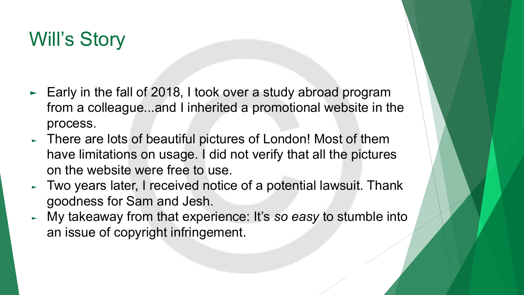# Will's Story

- ► Early in the fall of 2018, I took over a study abroad program from a colleague...and I inherited a promotional website in the process.
- ► There are lots of beautiful pictures of London! Most of them have limitations on usage. I did not verify that all the pictures on the website were free to use.
- ► Two years later, I received notice of a potential lawsuit. Thank goodness for Sam and Jesh.
- ► My takeaway from that experience: It's *so easy* to stumble into an issue of copyright infringement.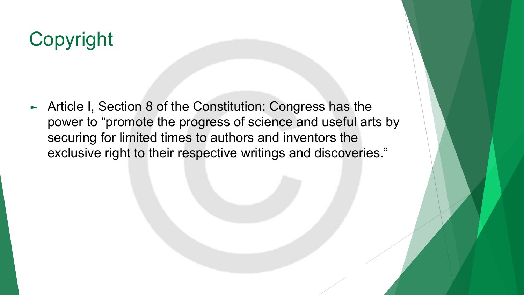# Copyright

► Article I, Section 8 of the Constitution: Congress has the power to "promote the progress of science and useful arts by securing for limited times to authors and inventors the exclusive right to their respective writings and discoveries."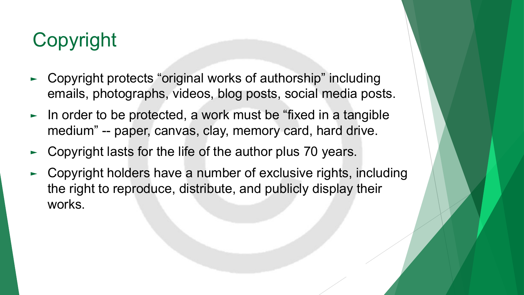# Copyright

- ► Copyright protects "original works of authorship" including emails, photographs, videos, blog posts, social media posts.
- ► In order to be protected, a work must be "fixed in a tangible medium" -- paper, canvas, clay, memory card, hard drive.
- Copyright lasts for the life of the author plus 70 years.
- Copyright holders have a number of exclusive rights, including the right to reproduce, distribute, and publicly display their works.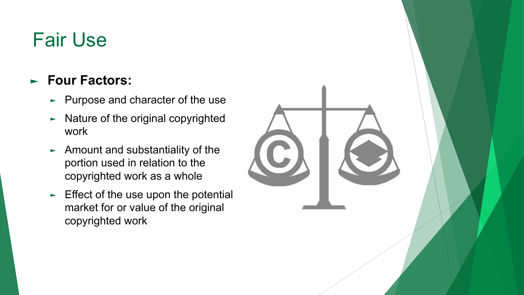# Fair Use

#### ► **Four Factors:**

- ► Purpose and character of the use
- ► Nature of the original copyrighted work
- ► Amount and substantiality of the portion used in relation to the copyrighted work as a whole
- $\blacktriangleright$  Effect of the use upon the potential market for or value of the original copyrighted work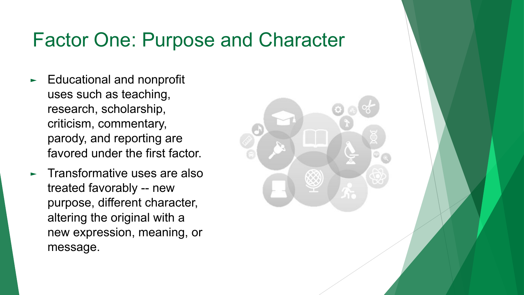### Factor One: Purpose and Character

- ► Educational and nonprofit uses such as teaching, research, scholarship, criticism, commentary, parody, and reporting are favored under the first factor.
- ► Transformative uses are also treated favorably -- new purpose, different character, altering the original with a new expression, meaning, or message.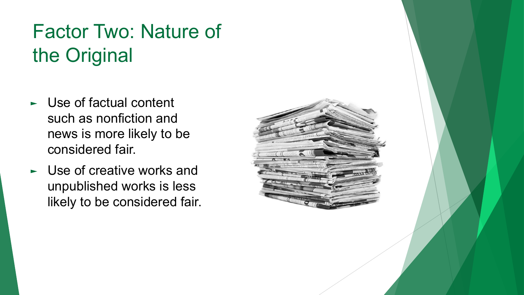# Factor Two: Nature of the Original

- ► Use of factual content such as nonfiction and news is more likely to be considered fair.
- ► Use of creative works and unpublished works is less likely to be considered fair.

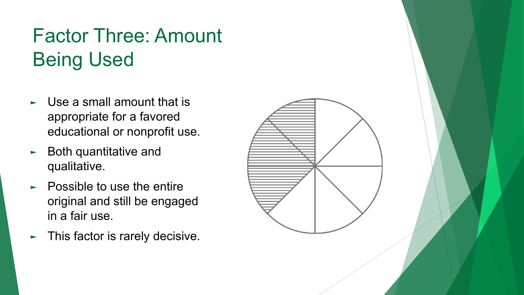# Factor Three: Amount Being Used

- ► Use a small amount that is appropriate for a favored educational or nonprofit use.
- ► Both quantitative and qualitative.
- ► Possible to use the entire original and still be engaged in a fair use.
- ► This factor is rarely decisive.

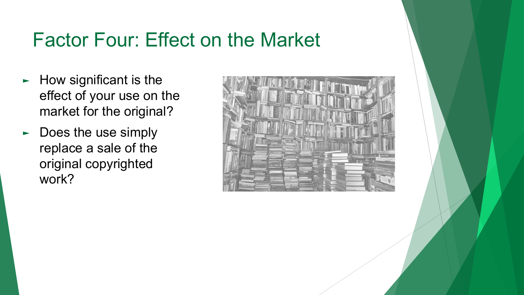## Factor Four: Effect on the Market

- ► How significant is the effect of your use on the market for the original?
- ► Does the use simply replace a sale of the original copyrighted work?

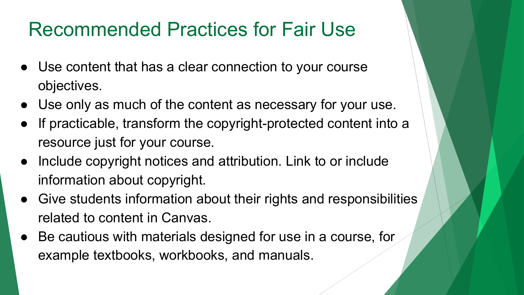## Recommended Practices for Fair Use

- Use content that has a clear connection to your course objectives.
- Use only as much of the content as necessary for your use.
- If practicable, transform the copyright-protected content into a resource just for your course.
- Include copyright notices and attribution. Link to or include information about copyright.
- Give students information about their rights and responsibilities related to content in Canvas.
- Be cautious with materials designed for use in a course, for example textbooks, workbooks, and manuals.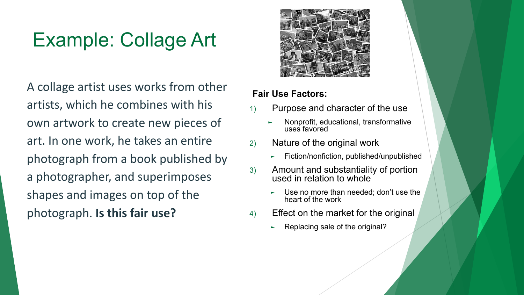# Example: Collage Art

A collage artist uses works from other artists, which he combines with his own artwork to create new pieces of art. In one work, he takes an entire photograph from a book published by a photographer, and superimposes shapes and images on top of the photograph. **Is this fair use?**



- 1) Purpose and character of the use
	- ► Nonprofit, educational, transformative uses favored
- 2) Nature of the original work
	- ► Fiction/nonfiction, published/unpublished
- 3) Amount and substantiality of portion used in relation to whole
	- Use no more than needed; don't use the heart of the work
- 4) Effect on the market for the original
	- ► Replacing sale of the original?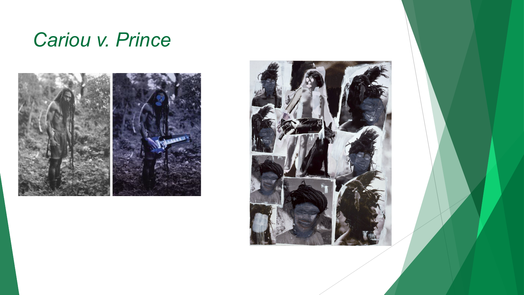## *Cariou v. Prince*



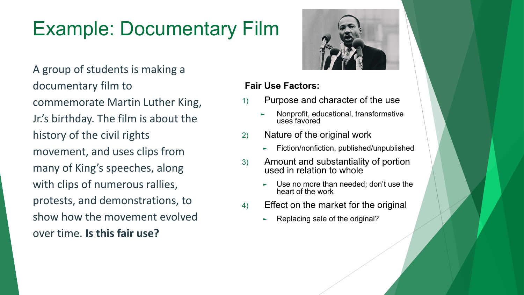# Example: Documentary Film

A group of students is making a documentary film to commemorate Martin Luther King, Jr.'s birthday. The film is about the history of the civil rights movement, and uses clips from many of King's speeches, along with clips of numerous rallies, protests, and demonstrations, to show how the movement evolved over time. **Is this fair use?**



- 1) Purpose and character of the use
	- ► Nonprofit, educational, transformative uses favored
- 2) Nature of the original work
	- ► Fiction/nonfiction, published/unpublished
- 3) Amount and substantiality of portion used in relation to whole
	- Use no more than needed; don't use the heart of the work
- 4) Effect on the market for the original
	- Replacing sale of the original?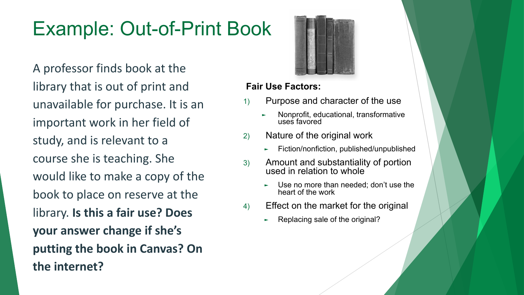# Example: Out-of-Print Book

A professor finds book at the library that is out of print and unavailable for purchase. It is an important work in her field of study, and is relevant to a course she is teaching. She would like to make a copy of the book to place on reserve at the library. **Is this a fair use? Does your answer change if she's putting the book in Canvas? On the internet?**



- 1) Purpose and character of the use
	- ► Nonprofit, educational, transformative uses favored
- 2) Nature of the original work
	- ► Fiction/nonfiction, published/unpublished
- 3) Amount and substantiality of portion used in relation to whole
	- Use no more than needed; don't use the heart of the work
- 4) Effect on the market for the original
	- Replacing sale of the original?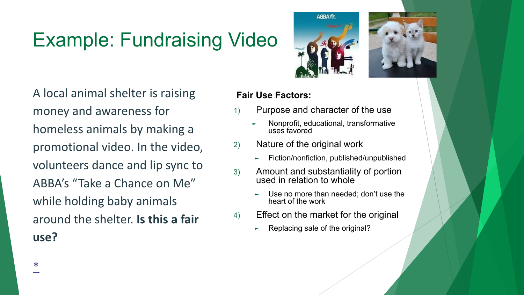# Example: Fundraising Video

A local animal shelter is raising money and awareness for homeless animals by making a promotional video. In the video, volunteers dance and lip sync to ABBA's "Take a Chance on Me" while holding baby animals around the shelter. **Is this a fair use?**



- 1) Purpose and character of the use
	- ► Nonprofit, educational, transformative uses favored
- 2) Nature of the original work
	- ► Fiction/nonfiction, published/unpublished
- 3) Amount and substantiality of portion used in relation to whole
	- ► Use no more than needed; don't use the heart of the work
- 4) Effect on the market for the original
	- Replacing sale of the original?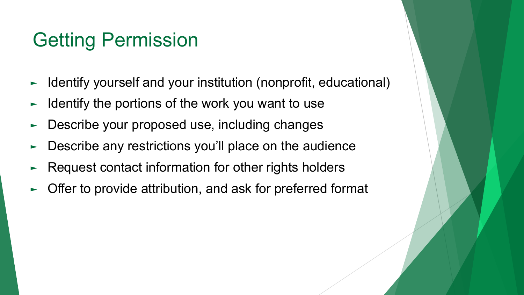## Getting Permission

- ► Identify yourself and your institution (nonprofit, educational)
- Identify the portions of the work you want to use
- Describe your proposed use, including changes
- ► Describe any restrictions you'll place on the audience
- Request contact information for other rights holders
- Offer to provide attribution, and ask for preferred format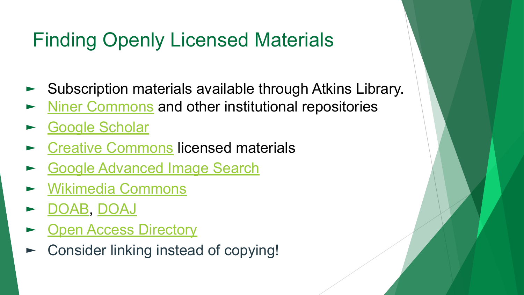# Finding Openly Licensed Materials

- ► Subscription materials available through Atkins Library.
- [Niner Commons](https://ninercommons.uncc.edu) and other institutional repositories
- [Google Scholar](https://scholar.google.com/)
- **[Creative Commons](https://creativecommons.org) licensed materials**
- [Google Advanced Image Search](https://www.google.com/advanced_image_search)
- ► [Wikimedia Commons](https://commons.wikimedia.org/)
- ► [DOAB,](https://www.doabooks.org) [DOAJ](https://doaj.org)
- [Open Access Directory](http://oad.simmons.edu/oadwiki/Disciplinary_repositories)
- ► Consider linking instead of copying!